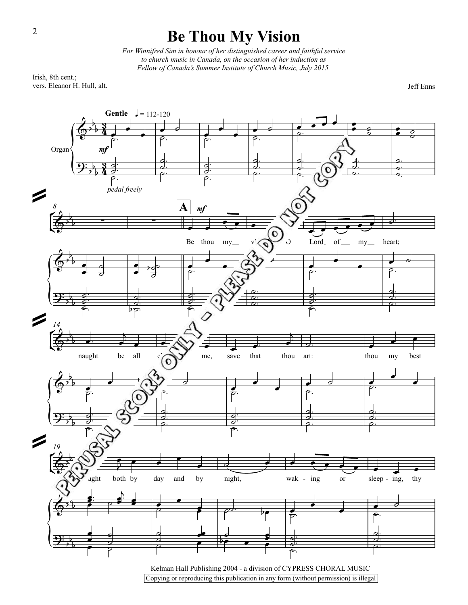## **Be Thou My Vision**

*For Winnifred Sim in honour ofher distinguished career and faithful service to church music in Canada, on the occasion ofher induction as Fellow ofCanada's Summer Institute ofChurch Music, July 2015.*

Irish, 8th cent.; vers. Eleanor H. Hull, alt.

2

Jeff Enns

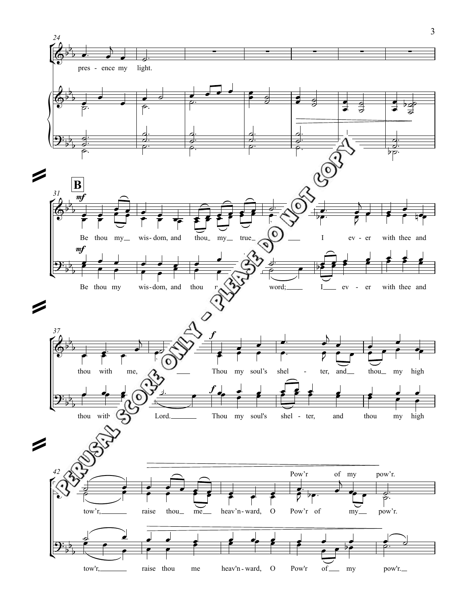

 $\overline{3}$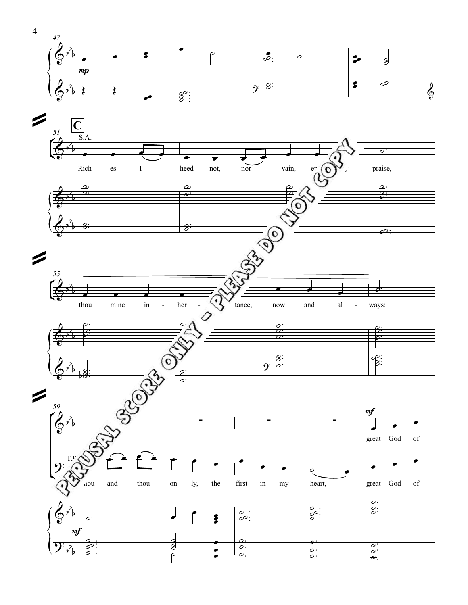

 $\overline{4}$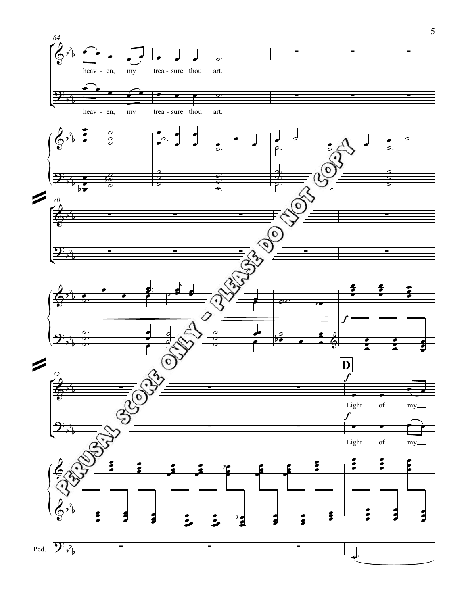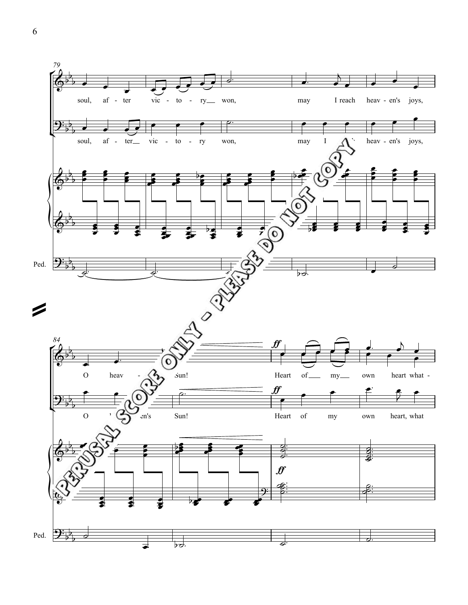